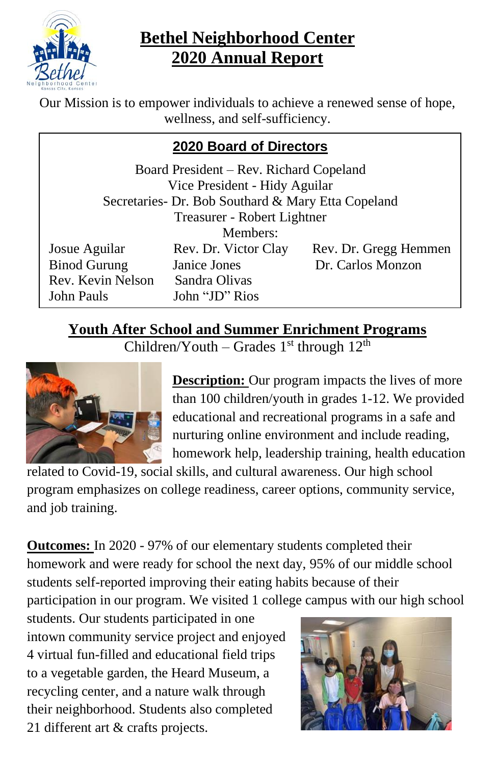

# **Bethel Neighborhood Center 2020 Annual Report**

Our Mission is to empower individuals to achieve a renewed sense of hope, wellness, and self-sufficiency.

## **2020 Board of Directors**

| Board President – Rev. Richard Copeland<br>Vice President - Hidy Aguilar<br>Secretaries- Dr. Bob Southard & Mary Etta Copeland |                      |                       |  |  |
|--------------------------------------------------------------------------------------------------------------------------------|----------------------|-----------------------|--|--|
| Treasurer - Robert Lightner                                                                                                    |                      |                       |  |  |
| Members:                                                                                                                       |                      |                       |  |  |
| Josue Aguilar                                                                                                                  | Rev. Dr. Victor Clay | Rev. Dr. Gregg Hemmen |  |  |
| <b>Binod Gurung</b>                                                                                                            | Janice Jones         | Dr. Carlos Monzon     |  |  |
| Rev. Kevin Nelson                                                                                                              | Sandra Olivas        |                       |  |  |
| John Pauls                                                                                                                     | John "JD" Rios       |                       |  |  |

# **Youth After School and Summer Enrichment Programs**

Children/Youth – Grades  $1<sup>st</sup>$  through  $12<sup>th</sup>$ 



**Description:** Our program impacts the lives of more than 100 children/youth in grades 1-12. We provided educational and recreational programs in a safe and nurturing online environment and include reading, homework help, leadership training, health education

related to Covid-19, social skills, and cultural awareness. Our high school program emphasizes on college readiness, career options, community service, and job training.

**Outcomes:** In 2020 - 97% of our elementary students completed their homework and were ready for school the next day, 95% of our middle school students self-reported improving their eating habits because of their participation in our program. We visited 1 college campus with our high school

students. Our students participated in one intown community service project and enjoyed 4 virtual fun-filled and educational field trips to a vegetable garden, the Heard Museum, a recycling center, and a nature walk through their neighborhood. Students also completed 21 different art & crafts projects.

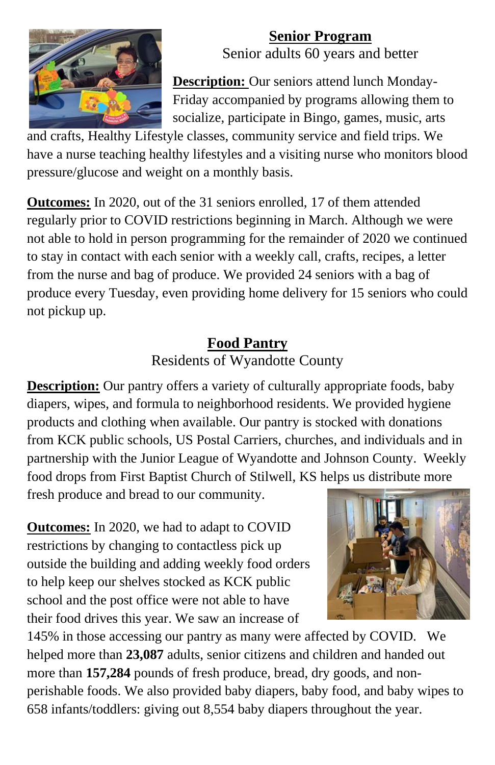

# **Senior Program**

Senior adults 60 years and better

**Description:** Our seniors attend lunch Monday-Friday accompanied by programs allowing them to socialize, participate in Bingo, games, music, arts

and crafts, Healthy Lifestyle classes, community service and field trips. We have a nurse teaching healthy lifestyles and a visiting nurse who monitors blood pressure/glucose and weight on a monthly basis.

**Outcomes:** In 2020, out of the 31 seniors enrolled, 17 of them attended regularly prior to COVID restrictions beginning in March. Although we were not able to hold in person programming for the remainder of 2020 we continued to stay in contact with each senior with a weekly call, crafts, recipes, a letter from the nurse and bag of produce. We provided 24 seniors with a bag of produce every Tuesday, even providing home delivery for 15 seniors who could not pickup up.

### **Food Pantry** Residents of Wyandotte County

**Description:** Our pantry offers a variety of culturally appropriate foods, baby diapers, wipes, and formula to neighborhood residents. We provided hygiene products and clothing when available. Our pantry is stocked with donations from KCK public schools, US Postal Carriers, churches, and individuals and in partnership with the Junior League of Wyandotte and Johnson County. Weekly food drops from First Baptist Church of Stilwell, KS helps us distribute more

fresh produce and bread to our community.

**Outcomes:** In 2020, we had to adapt to COVID restrictions by changing to contactless pick up outside the building and adding weekly food orders to help keep our shelves stocked as KCK public school and the post office were not able to have their food drives this year. We saw an increase of



145% in those accessing our pantry as many were affected by COVID. We helped more than **23,087** adults, senior citizens and children and handed out more than **157,284** pounds of fresh produce, bread, dry goods, and nonperishable foods. We also provided baby diapers, baby food, and baby wipes to 658 infants/toddlers: giving out 8,554 baby diapers throughout the year.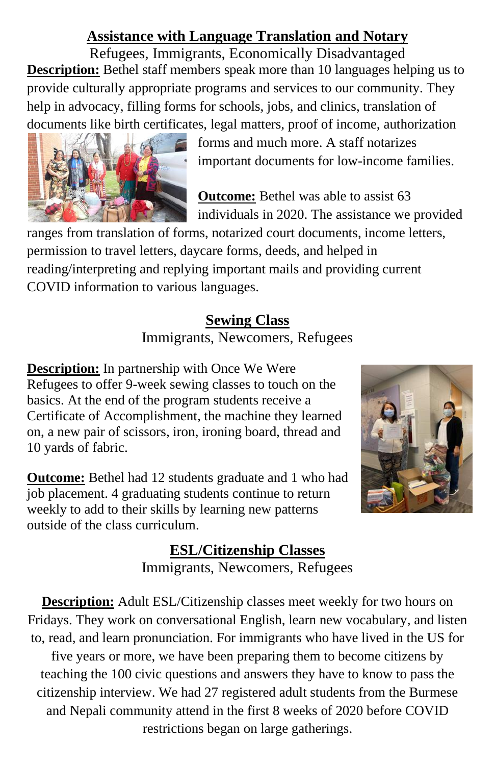#### **Assistance with Language Translation and Notary**

Refugees, Immigrants, Economically Disadvantaged **Description:** Bethel staff members speak more than 10 languages helping us to provide culturally appropriate programs and services to our community. They help in advocacy, filling forms for schools, jobs, and clinics, translation of documents like birth certificates, legal matters, proof of income, authorization



forms and much more. A staff notarizes important documents for low-income families.

**Outcome:** Bethel was able to assist 63 individuals in 2020. The assistance we provided

ranges from translation of forms, notarized court documents, income letters, permission to travel letters, daycare forms, deeds, and helped in reading/interpreting and replying important mails and providing current COVID information to various languages.

#### **Sewing Class** Immigrants, Newcomers, Refugees

**Description:** In partnership with Once We Were Refugees to offer 9-week sewing classes to touch on the basics. At the end of the program students receive a Certificate of Accomplishment, the machine they learned on, a new pair of scissors, iron, ironing board, thread and 10 yards of fabric.

**Outcome:** Bethel had 12 students graduate and 1 who had job placement. 4 graduating students continue to return weekly to add to their skills by learning new patterns outside of the class curriculum.



## **ESL/Citizenship Classes** Immigrants, Newcomers, Refugees

**Description:** Adult ESL/Citizenship classes meet weekly for two hours on Fridays. They work on conversational English, learn new vocabulary, and listen to, read, and learn pronunciation. For immigrants who have lived in the US for five years or more, we have been preparing them to become citizens by teaching the 100 civic questions and answers they have to know to pass the citizenship interview. We had 27 registered adult students from the Burmese and Nepali community attend in the first 8 weeks of 2020 before COVID restrictions began on large gatherings.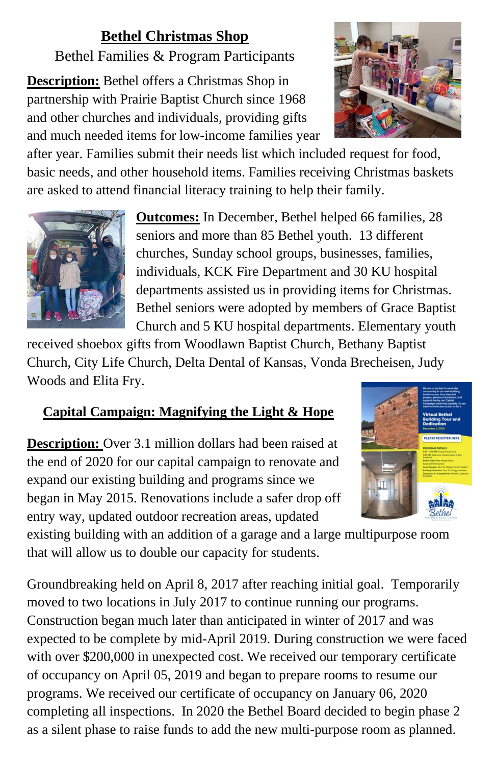# **Bethel Christmas Shop**

Bethel Families & Program Participants

**Description:** Bethel offers a Christmas Shop in partnership with Prairie Baptist Church since 1968 and other churches and individuals, providing gifts and much needed items for low-income families year



after year. Families submit their needs list which included request for food, basic needs, and other household items. Families receiving Christmas baskets are asked to attend financial literacy training to help their family.



**Outcomes:** In December, Bethel helped 66 families, 28 seniors and more than 85 Bethel youth. 13 different churches, Sunday school groups, businesses, families, individuals, KCK Fire Department and 30 KU hospital departments assisted us in providing items for Christmas. Bethel seniors were adopted by members of Grace Baptist Church and 5 KU hospital departments. Elementary youth

received shoebox gifts from Woodlawn Baptist Church, Bethany Baptist Church, City Life Church, Delta Dental of Kansas, Vonda Brecheisen, Judy Woods and Elita Fry.

# **Capital Campaign: Magnifying the Light & Hope**

**Description:** Over 3.1 million dollars had been raised at the end of 2020 for our capital campaign to renovate and expand our existing building and programs since we began in May 2015. Renovations include a safer drop off entry way, updated outdoor recreation areas, updated



existing building with an addition of a garage and a large multipurpose room that will allow us to double our capacity for students.

Groundbreaking held on April 8, 2017 after reaching initial goal. Temporarily moved to two locations in July 2017 to continue running our programs. Construction began much later than anticipated in winter of 2017 and was expected to be complete by mid-April 2019. During construction we were faced with over \$200,000 in unexpected cost. We received our temporary certificate of occupancy on April 05, 2019 and began to prepare rooms to resume our programs. We received our certificate of occupancy on January 06, 2020 completing all inspections. In 2020 the Bethel Board decided to begin phase 2 as a silent phase to raise funds to add the new multi-purpose room as planned.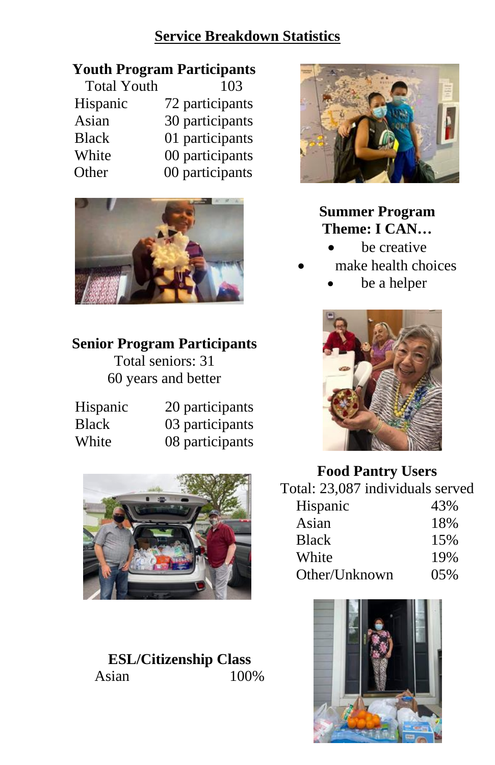#### **Service Breakdown Statistics**

### **Youth Program Participants**

| <b>Total Youth</b> | 103             |
|--------------------|-----------------|
| Hispanic           | 72 participants |
| Asian              | 30 participants |
| <b>Black</b>       | 01 participants |
| White              | 00 participants |
| Other              | 00 participants |



# **Senior Program Participants**

Total seniors: 31 60 years and better

| Hispanic | 20 participants |
|----------|-----------------|
| Black    | 03 participants |
| White    | 08 participants |



**ESL/Citizenship Class** Asian 100%



#### **Summer Program Theme: I CAN…**

- be creative
- make health choices
	- be a helper



#### **Food Pantry Users**

| Total: 23,087 individuals served |     |
|----------------------------------|-----|
| Hispanic                         | 43% |
| Asian                            | 18% |
| <b>Black</b>                     | 15% |
| White                            | 19% |
| Other/Unknown                    | 05% |

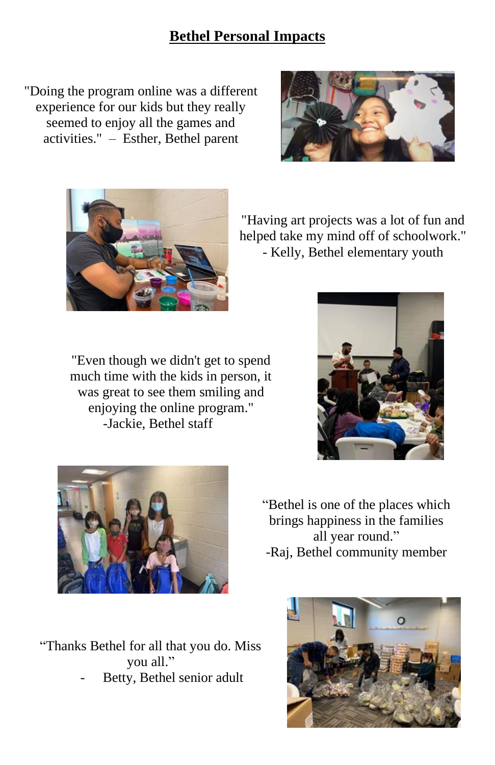#### **Bethel Personal Impacts**

"Doing the program online was a different experience for our kids but they really seemed to enjoy all the games and activities." – Esther, Bethel parent





"Having art projects was a lot of fun and helped take my mind off of schoolwork." - Kelly, Bethel elementary youth

"Even though we didn't get to spend much time with the kids in person, it was great to see them smiling and enjoying the online program." -Jackie, Bethel staff





"Bethel is one of the places which brings happiness in the families all year round." -Raj, Bethel community member

"Thanks Bethel for all that you do. Miss you all." Betty, Bethel senior adult

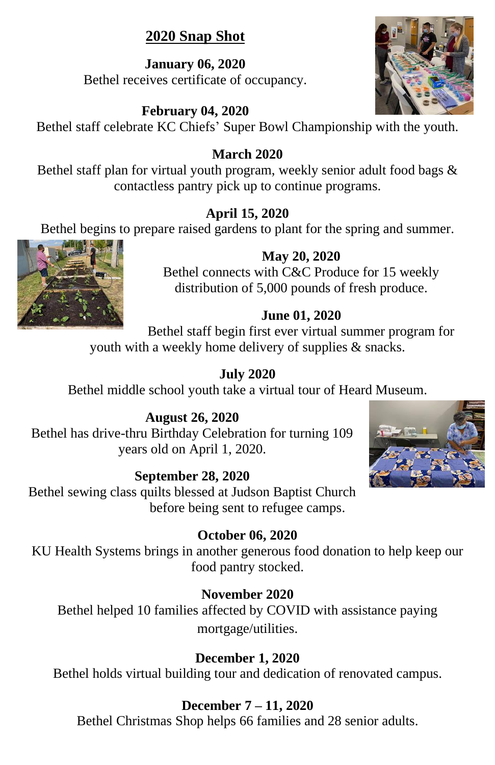### **2020 Snap Shot**

**January 06, 2020** Bethel receives certificate of occupancy.

#### **February 04, 2020**

Bethel staff celebrate KC Chiefs' Super Bowl Championship with the youth.

#### **March 2020**

Bethel staff plan for virtual youth program, weekly senior adult food bags & contactless pantry pick up to continue programs.

#### **April 15, 2020**

Bethel begins to prepare raised gardens to plant for the spring and summer.

#### **May 20, 2020**

Bethel connects with C&C Produce for 15 weekly distribution of 5,000 pounds of fresh produce.

#### **June 01, 2020**

Bethel staff begin first ever virtual summer program for youth with a weekly home delivery of supplies & snacks.

#### **July 2020**

Bethel middle school youth take a virtual tour of Heard Museum.

#### **August 26, 2020**

Bethel has drive-thru Birthday Celebration for turning 109 years old on April 1, 2020.

#### **September 28, 2020**

Bethel sewing class quilts blessed at Judson Baptist Church before being sent to refugee camps.

#### **October 06, 2020**

KU Health Systems brings in another generous food donation to help keep our food pantry stocked.

#### **November 2020**

Bethel helped 10 families affected by COVID with assistance paying mortgage/utilities.

#### **December 1, 2020**

Bethel holds virtual building tour and dedication of renovated campus.

#### **December 7 – 11, 2020**

Bethel Christmas Shop helps 66 families and 28 senior adults.